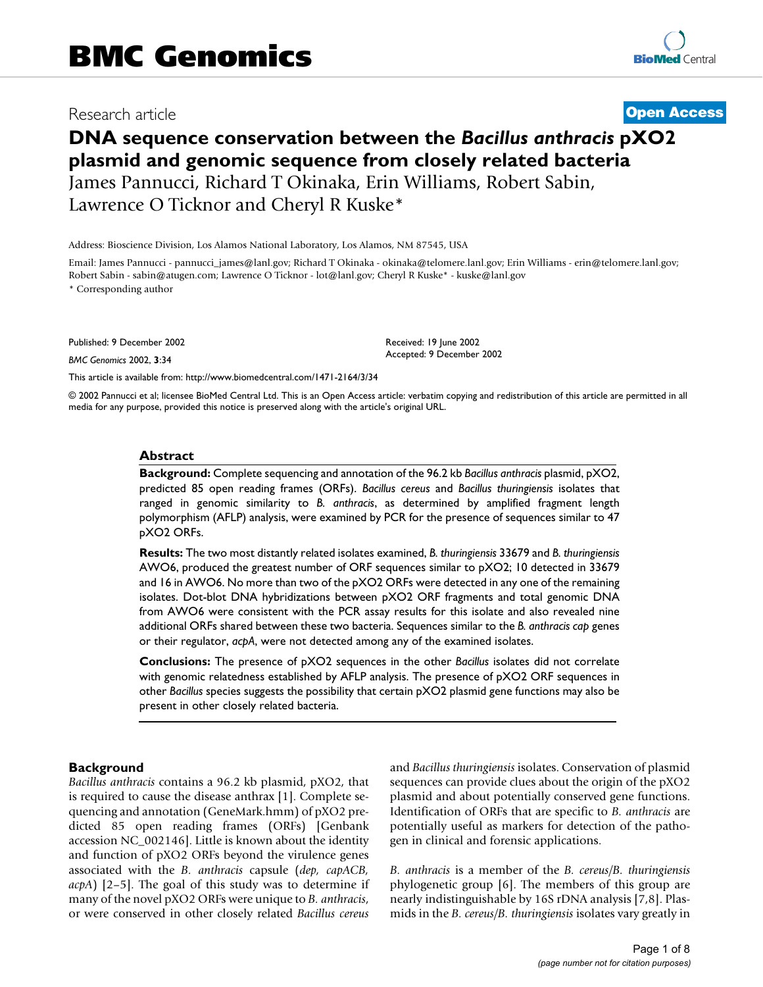# Research article **[Open Access](http://www.biomedcentral.com/info/about/charter/)**

# **DNA sequence conservation between the** *Bacillus anthracis* **pXO2 plasmid and genomic sequence from closely related bacteria** James Pannucci, Richard T Okinaka, Erin Williams, Robert Sabin, Lawrence O Ticknor and Cheryl R Kuske\*

Address: Bioscience Division, Los Alamos National Laboratory, Los Alamos, NM 87545, USA

Email: James Pannucci - pannucci\_james@lanl.gov; Richard T Okinaka - okinaka@telomere.lanl.gov; Erin Williams - erin@telomere.lanl.gov; Robert Sabin - sabin@atugen.com; Lawrence O Ticknor - lot@lanl.gov; Cheryl R Kuske\* - kuske@lanl.gov

\* Corresponding author

Published: 9 December 2002

*BMC Genomics* 2002, **3**:34

[This article is available from: http://www.biomedcentral.com/1471-2164/3/34](http://www.biomedcentral.com/1471-2164/3/34)

© 2002 Pannucci et al; licensee BioMed Central Ltd. This is an Open Access article: verbatim copying and redistribution of this article are permitted in all media for any purpose, provided this notice is preserved along with the article's original URL.

Received: 19 June 2002 Accepted: 9 December 2002

#### **Abstract**

**Background:** Complete sequencing and annotation of the 96.2 kb *Bacillus anthracis* plasmid, pXO2, predicted 85 open reading frames (ORFs). *Bacillus cereus* and *Bacillus thuringiensis* isolates that ranged in genomic similarity to *B. anthracis*, as determined by amplified fragment length polymorphism (AFLP) analysis, were examined by PCR for the presence of sequences similar to 47 pXO2 ORFs.

**Results:** The two most distantly related isolates examined, *B. thuringiensis* 33679 and *B. thuringiensis* AWO6, produced the greatest number of ORF sequences similar to pXO2; 10 detected in 33679 and 16 in AWO6. No more than two of the pXO2 ORFs were detected in any one of the remaining isolates. Dot-blot DNA hybridizations between pXO2 ORF fragments and total genomic DNA from AWO6 were consistent with the PCR assay results for this isolate and also revealed nine additional ORFs shared between these two bacteria. Sequences similar to the *B. anthracis cap* genes or their regulator, *acpA*, were not detected among any of the examined isolates.

**Conclusions:** The presence of pXO2 sequences in the other *Bacillus* isolates did not correlate with genomic relatedness established by AFLP analysis. The presence of pXO2 ORF sequences in other *Bacillus* species suggests the possibility that certain pXO2 plasmid gene functions may also be present in other closely related bacteria.

#### **Background**

*Bacillus anthracis* contains a 96.2 kb plasmid, pXO2, that is required to cause the disease anthrax [\[1\]](#page-7-0). Complete sequencing and annotation (GeneMark.hmm) of pXO2 predicted 85 open reading frames (ORFs) [Genbank accession NC\_002146]. Little is known about the identity and function of pXO2 ORFs beyond the virulence genes associated with the *B. anthracis* capsule (*dep, capACB, acpA*) [\[2](#page-7-1)[–5\]](#page-7-2). The goal of this study was to determine if many of the novel pXO2 ORFs were unique to *B. anthracis*, or were conserved in other closely related *Bacillus cereus* and *Bacillus thuringiensis* isolates. Conservation of plasmid sequences can provide clues about the origin of the pXO2 plasmid and about potentially conserved gene functions. Identification of ORFs that are specific to *B. anthracis* are potentially useful as markers for detection of the pathogen in clinical and forensic applications.

*B. anthracis* is a member of the *B. cereus/B. thuringiensis* phylogenetic group [\[6\]](#page-7-3). The members of this group are nearly indistinguishable by 16S rDNA analysis [[7](#page-7-4)[,8\]](#page-7-5). Plasmids in the *B. cereus/B. thuringiensis* isolates vary greatly in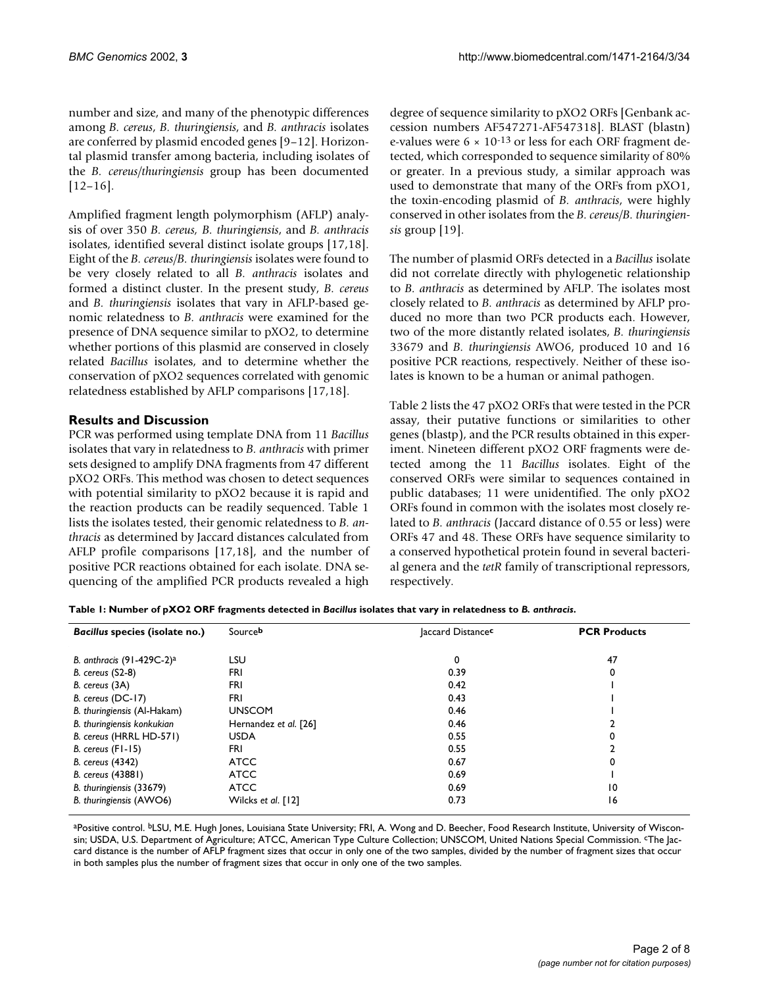number and size, and many of the phenotypic differences among *B. cereus*, *B. thuringiensis*, and *B. anthracis* isolates are conferred by plasmid encoded genes [[9](#page-7-6)[–12](#page-7-7)]. Horizontal plasmid transfer among bacteria, including isolates of the *B. cereus/thuringiensis* group has been documented [[12](#page-7-7)–[16\]](#page-7-8).

Amplified fragment length polymorphism (AFLP) analysis of over 350 *B. cereus, B. thuringiensis*, and *B. anthracis* isolates, identified several distinct isolate groups [[17](#page-7-9)[,18](#page-7-10)]. Eight of the *B. cereus/B. thuringiensis* isolates were found to be very closely related to all *B. anthracis* isolates and formed a distinct cluster. In the present study, *B. cereus* and *B. thuringiensis* isolates that vary in AFLP-based genomic relatedness to *B. anthracis* were examined for the presence of DNA sequence similar to pXO2, to determine whether portions of this plasmid are conserved in closely related *Bacillus* isolates, and to determine whether the conservation of pXO2 sequences correlated with genomic relatedness established by AFLP comparisons [[17](#page-7-9),[18\]](#page-7-10).

## **Results and Discussion**

PCR was performed using template DNA from 11 *Bacillus* isolates that vary in relatedness to *B. anthracis* with primer sets designed to amplify DNA fragments from 47 different pXO2 ORFs. This method was chosen to detect sequences with potential similarity to pXO2 because it is rapid and the reaction products can be readily sequenced. Table [1](#page-1-0) lists the isolates tested, their genomic relatedness to *B. anthracis* as determined by Jaccard distances calculated from AFLP profile comparisons [[17](#page-7-9)[,18](#page-7-10)], and the number of positive PCR reactions obtained for each isolate. DNA sequencing of the amplified PCR products revealed a high degree of sequence similarity to pXO2 ORFs [Genbank accession numbers AF547271-AF547318]. BLAST (blastn) e-values were  $6 \times 10^{-13}$  or less for each ORF fragment detected, which corresponded to sequence similarity of 80% or greater. In a previous study, a similar approach was used to demonstrate that many of the ORFs from pXO1, the toxin-encoding plasmid of *B. anthracis*, were highly conserved in other isolates from the *B. cereus/B. thuringiensis* group [[19\]](#page-7-11).

The number of plasmid ORFs detected in a *Bacillus* isolate did not correlate directly with phylogenetic relationship to *B. anthracis* as determined by AFLP. The isolates most closely related to *B. anthracis* as determined by AFLP produced no more than two PCR products each. However, two of the more distantly related isolates, *B. thuringiensis* 33679 and *B. thuringiensis* AWO6, produced 10 and 16 positive PCR reactions, respectively. Neither of these isolates is known to be a human or animal pathogen.

Table [2](#page-2-0) lists the 47 pXO2 ORFs that were tested in the PCR assay, their putative functions or similarities to other genes (blastp), and the PCR results obtained in this experiment. Nineteen different pXO2 ORF fragments were detected among the 11 *Bacillus* isolates. Eight of the conserved ORFs were similar to sequences contained in public databases; 11 were unidentified. The only pXO2 ORFs found in common with the isolates most closely related to *B. anthracis* (Jaccard distance of 0.55 or less) were ORFs 47 and 48. These ORFs have sequence similarity to a conserved hypothetical protein found in several bacterial genera and the *tetR* family of transcriptional repressors, respectively.

<span id="page-1-0"></span>

| Bacillus species (isolate no.) | Sourceb               | laccard Distancec | <b>PCR Products</b> |  |  |
|--------------------------------|-----------------------|-------------------|---------------------|--|--|
| B. anthracis $(91-429C-2)a$    | LSU                   | 0                 | 47                  |  |  |
| <b>B.</b> cereus (S2-8)        | FRI                   | 0.39              | 0                   |  |  |
| B. cereus (3A)                 | FRI                   | 0.42              |                     |  |  |
| B. cereus (DC-17)              | FRI                   | 0.43              |                     |  |  |
| B. thuringiensis (Al-Hakam)    | <b>UNSCOM</b>         | 0.46              |                     |  |  |
| B. thuringiensis konkukian     | Hernandez et al. [26] | 0.46              |                     |  |  |
| B. cereus (HRRL HD-571)        | <b>USDA</b>           | 0.55              |                     |  |  |
| $B.$ cereus $(FI - 15)$        | FRI                   | 0.55              |                     |  |  |
| <b>B.</b> cereus (4342)        | <b>ATCC</b>           | 0.67              |                     |  |  |
| B. cereus (43881)              | <b>ATCC</b>           | 0.69              |                     |  |  |
| B. thuringiensis (33679)       | <b>ATCC</b>           | 0.69              | $\overline{10}$     |  |  |
| B. thuringiensis (AWO6)        | Wilcks et al. [12]    | 0.73              | 16                  |  |  |

aPositive control. <sup>b</sup>LSU, M.E. Hugh Jones, Louisiana State University; FRI, A. Wong and D. Beecher, Food Research Institute, University of Wisconsin; USDA, U.S. Department of Agriculture; ATCC, American Type Culture Collection; UNSCOM, United Nations Special Commission. cThe Jaccard distance is the number of AFLP fragment sizes that occur in only one of the two samples, divided by the number of fragment sizes that occur in both samples plus the number of fragment sizes that occur in only one of the two samples.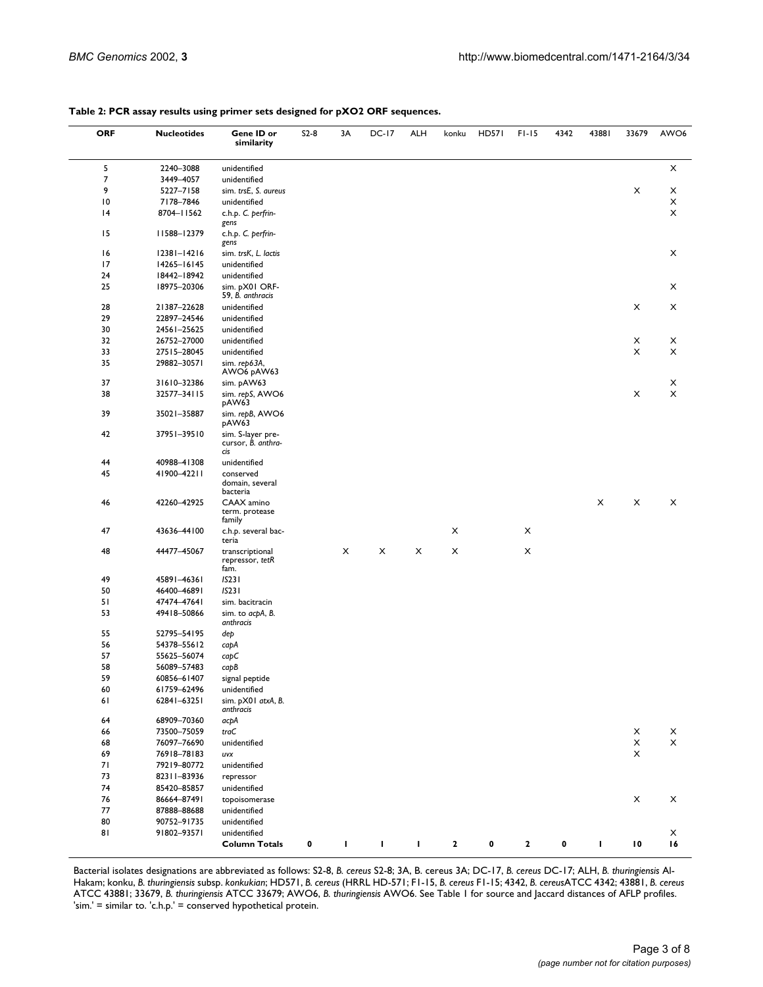| <b>ORF</b> | <b>Nucleotides</b> | Gene ID or<br>similarity                       | $S2-8$ | 3A | DC-17 | ALH | konku | <b>HD571</b> | $FI-15$ | 4342 | 43881 | 33679                                              | AWO <sub>6</sub>          |
|------------|--------------------|------------------------------------------------|--------|----|-------|-----|-------|--------------|---------|------|-------|----------------------------------------------------|---------------------------|
| 5          | 2240-3088          | unidentified                                   |        |    |       |     |       |              |         |      |       |                                                    | Х                         |
| 7          | 3449-4057          | unidentified                                   |        |    |       |     |       |              |         |      |       |                                                    |                           |
| 9          | 5227-7158          | sim. trsE, S. aureus                           |        |    |       |     |       |              |         |      |       | X                                                  | X                         |
| 10         | 7178-7846          | unidentified                                   |        |    |       |     |       |              |         |      |       |                                                    | X                         |
| 4          | 8704-11562         | c.h.p. C. perfrin-                             |        |    |       |     |       |              |         |      |       |                                                    | X                         |
|            |                    | gens                                           |        |    |       |     |       |              |         |      |       |                                                    |                           |
| 15         | 11588-12379        | c.h.p. C. perfrin-<br>gens                     |        |    |       |     |       |              |         |      |       |                                                    |                           |
| 16         | 12381-14216        | sim. trsK, L. lactis                           |        |    |       |     |       |              |         |      |       |                                                    | X                         |
| 17         | 14265-16145        | unidentified                                   |        |    |       |     |       |              |         |      |       |                                                    |                           |
| 24         | 18442-18942        | unidentified                                   |        |    |       |     |       |              |         |      |       |                                                    |                           |
| 25         | 18975-20306        | sim. pX01 ORF-<br>59, B. anthracis             |        |    |       |     |       |              |         |      |       |                                                    | X                         |
| 28         | 21387-22628        | unidentified                                   |        |    |       |     |       |              |         |      |       | X                                                  | X                         |
|            |                    | unidentified                                   |        |    |       |     |       |              |         |      |       |                                                    |                           |
| 29         | 22897-24546        |                                                |        |    |       |     |       |              |         |      |       |                                                    |                           |
| 30         | 24561-25625        | unidentified                                   |        |    |       |     |       |              |         |      |       |                                                    |                           |
| 32         | 26752-27000        | unidentified                                   |        |    |       |     |       |              |         |      |       | X                                                  | X                         |
| 33         | 27515-28045        | unidentified                                   |        |    |       |     |       |              |         |      |       | X                                                  | X                         |
| 35         | 29882-30571        | sim. rep63A,<br>AWO6 pAW63                     |        |    |       |     |       |              |         |      |       |                                                    |                           |
| 37         | 31610-32386        | sim. pAW63                                     |        |    |       |     |       |              |         |      |       |                                                    | X                         |
| 38         | 32577-34115        | sim. repS, AWO6<br>pAW63                       |        |    |       |     |       |              |         |      |       | X                                                  | $\boldsymbol{\mathsf{X}}$ |
| 39         | 35021-35887        | sim. repB, AWO6<br>pAW63                       |        |    |       |     |       |              |         |      |       |                                                    |                           |
| 42         | 37951-39510        | sim. S-layer pre-<br>cursor, B. anthra-<br>cis |        |    |       |     |       |              |         |      |       |                                                    |                           |
| 44         | 40988-41308        | unidentified                                   |        |    |       |     |       |              |         |      |       |                                                    |                           |
| 45         |                    |                                                |        |    |       |     |       |              |         |      |       |                                                    |                           |
|            | 41900-42211        | conserved<br>domain, several<br>bacteria       |        |    |       |     |       |              |         |      |       |                                                    |                           |
| 46         | 42260-42925        | CAAX amino<br>term. protease<br>family         |        |    |       |     |       |              |         |      | X     | X                                                  | X                         |
| 47         | 43636-44100        | c.h.p. several bac-<br>teria                   |        |    |       |     | X     |              | X       |      |       |                                                    |                           |
| 48         | 44477-45067        | transcriptional<br>repressor, tetR<br>fam.     |        | X  | X     | X   | X     |              | X       |      |       |                                                    |                           |
| 49         | 45891-46361        | IS23I                                          |        |    |       |     |       |              |         |      |       |                                                    |                           |
| 50         | 46400-46891        | <b>IS231</b>                                   |        |    |       |     |       |              |         |      |       |                                                    |                           |
| 51         | 47474-47641        | sim. bacitracin                                |        |    |       |     |       |              |         |      |       |                                                    |                           |
| 53         | 49418-50866        | sim. to acpA, B.<br>anthracis                  |        |    |       |     |       |              |         |      |       |                                                    |                           |
| 55         | 52795-54195        | dep                                            |        |    |       |     |       |              |         |      |       |                                                    |                           |
| 56         | 54378-55612        |                                                |        |    |       |     |       |              |         |      |       |                                                    |                           |
| 57         | 55625-56074        | сарА                                           |        |    |       |     |       |              |         |      |       |                                                    |                           |
|            |                    | capC                                           |        |    |       |     |       |              |         |      |       |                                                    |                           |
| 58         | 56089-57483        | capB                                           |        |    |       |     |       |              |         |      |       |                                                    |                           |
| 59         | 60856-61407        | signal peptide                                 |        |    |       |     |       |              |         |      |       |                                                    |                           |
| 60         | 61759-62496        | unidentified                                   |        |    |       |     |       |              |         |      |       |                                                    |                           |
| 61         | 62841-63251        | sim. pX01 atxA, B.<br>anthracis                |        |    |       |     |       |              |         |      |       |                                                    |                           |
| 64         | 68909-70360        | асрА                                           |        |    |       |     |       |              |         |      |       |                                                    |                           |
| 66         | 73500-75059        | traC                                           |        |    |       |     |       |              |         |      |       | X                                                  | X                         |
| 68         | 76097-76690        | unidentified                                   |        |    |       |     |       |              |         |      |       | X                                                  | X                         |
| 69         | 76918-78183        | uvx                                            |        |    |       |     |       |              |         |      |       | X                                                  |                           |
| 71         | 79219-80772        | unidentified                                   |        |    |       |     |       |              |         |      |       |                                                    |                           |
| 73         | 82311-83936        | repressor                                      |        |    |       |     |       |              |         |      |       |                                                    |                           |
| 74         |                    |                                                |        |    |       |     |       |              |         |      |       |                                                    |                           |
|            | 85420-85857        | unidentified                                   |        |    |       |     |       |              |         |      |       |                                                    |                           |
| 76         | 86664-87491        | topoisomerase                                  |        |    |       |     |       |              |         |      |       | X                                                  | X                         |
| 77         | 87888-88688        | unidentified                                   |        |    |       |     |       |              |         |      |       |                                                    |                           |
| 80         | 90752-91735        | unidentified                                   |        |    |       |     |       |              |         |      |       |                                                    |                           |
| 81         | 91802-93571        | unidentified<br><b>Column Totals</b>           | 0      | т  | л.    | I.  | 2     | 0            | 2       | 0    | L     | $\boldsymbol{\mathsf{I}}\,\boldsymbol{\mathsf{0}}$ | X<br>16                   |
|            |                    |                                                |        |    |       |     |       |              |         |      |       |                                                    |                           |

#### <span id="page-2-0"></span>**Table 2: PCR assay results using primer sets designed for pXO2 ORF sequences.**

Bacterial isolates designations are abbreviated as follows: S2-8, *B. cereus* S2-8; 3A, B. cereus 3A; DC-17, *B. cereus* DC-17; ALH, *B. thuringiensis* Al-Hakam; konku, *B. thuringiensis* subsp. *konkukian*; HD571, *B. cereus* (HRRL HD-571; F1-15, *B. cereus* F1-15; 4342, *B. cereus*ATCC 4342; 43881, *B. cereus*  ATCC 43881; 33679, *B. thuringiensis* ATCC 33679; AWO6, *B. thuringiensis* AWO6. See Table [1](#page-1-0) for source and Jaccard distances of AFLP profiles. 'sim.' = similar to. 'c.h.p.' = conserved hypothetical protein.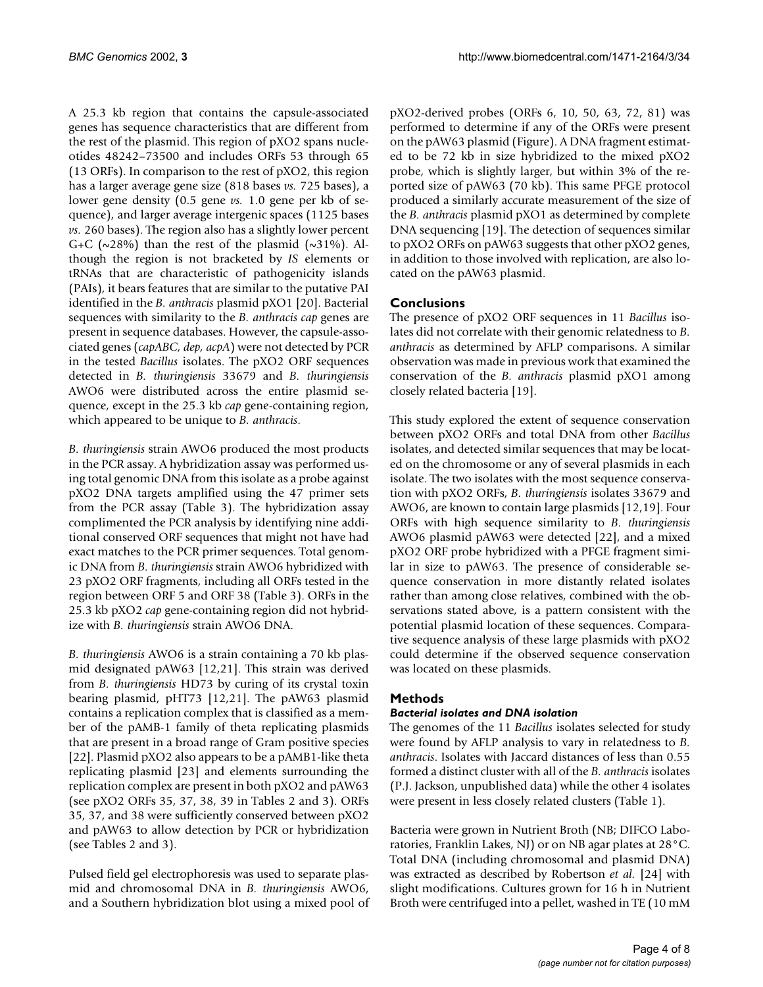A 25.3 kb region that contains the capsule-associated genes has sequence characteristics that are different from the rest of the plasmid. This region of pXO2 spans nucleotides 48242–73500 and includes ORFs 53 through 65 (13 ORFs). In comparison to the rest of pXO2, this region has a larger average gene size (818 bases *vs.* 725 bases), a lower gene density (0.5 gene *vs.* 1.0 gene per kb of sequence), and larger average intergenic spaces (1125 bases *vs.* 260 bases). The region also has a slightly lower percent G+C ( $\sim$ 28%) than the rest of the plasmid ( $\sim$ 31%). Although the region is not bracketed by *IS* elements or tRNAs that are characteristic of pathogenicity islands (PAIs), it bears features that are similar to the putative PAI identified in the *B. anthracis* plasmid pXO1 [[20\]](#page-7-13). Bacterial sequences with similarity to the *B. anthracis cap* genes are present in sequence databases. However, the capsule-associated genes (*capABC, dep, acpA*) were not detected by PCR in the tested *Bacillus* isolates. The pXO2 ORF sequences detected in *B. thuringiensis* 33679 and *B. thuringiensis* AWO6 were distributed across the entire plasmid sequence, except in the 25.3 kb *cap* gene-containing region, which appeared to be unique to *B. anthracis*.

*B. thuringiensis* strain AWO6 produced the most products in the PCR assay. A hybridization assay was performed using total genomic DNA from this isolate as a probe against pXO2 DNA targets amplified using the 47 primer sets from the PCR assay (Table [3](#page-4-0)). The hybridization assay complimented the PCR analysis by identifying nine additional conserved ORF sequences that might not have had exact matches to the PCR primer sequences. Total genomic DNA from *B. thuringiensis* strain AWO6 hybridized with 23 pXO2 ORF fragments, including all ORFs tested in the region between ORF 5 and ORF 38 (Table [3](#page-4-0)). ORFs in the 25.3 kb pXO2 *cap* gene-containing region did not hybridize with *B. thuringiensis* strain AWO6 DNA.

*B. thuringiensis* AWO6 is a strain containing a 70 kb plasmid designated pAW63 [\[12](#page-7-7),[21](#page-7-14)]. This strain was derived from *B. thuringiensis* HD73 by curing of its crystal toxin bearing plasmid, pHT73 [\[12](#page-7-7),[21\]](#page-7-14). The pAW63 plasmid contains a replication complex that is classified as a member of the pAMB-1 family of theta replicating plasmids that are present in a broad range of Gram positive species [[22](#page-7-15)]. Plasmid pXO2 also appears to be a pAMB1-like theta replicating plasmid [[23](#page-7-16)] and elements surrounding the replication complex are present in both pXO2 and pAW63 (see pXO2 ORFs 35, 37, 38, 39 in Tables [2](#page-2-0) and [3](#page-4-0)). ORFs 35, 37, and 38 were sufficiently conserved between pXO2 and pAW63 to allow detection by PCR or hybridization (see Tables [2](#page-2-0) and [3\)](#page-4-0).

Pulsed field gel electrophoresis was used to separate plasmid and chromosomal DNA in *B. thuringiensis* AWO6, and a Southern hybridization blot using a mixed pool of pXO2-derived probes (ORFs 6, 10, 50, 63, 72, 81) was performed to determine if any of the ORFs were present on the pAW63 plasmid (Figure). A DNA fragment estimated to be 72 kb in size hybridized to the mixed pXO2 probe, which is slightly larger, but within 3% of the reported size of pAW63 (70 kb). This same PFGE protocol produced a similarly accurate measurement of the size of the *B. anthracis* plasmid pXO1 as determined by complete DNA sequencing [[19\]](#page-7-11). The detection of sequences similar to pXO2 ORFs on pAW63 suggests that other pXO2 genes, in addition to those involved with replication, are also located on the pAW63 plasmid.

# **Conclusions**

The presence of pXO2 ORF sequences in 11 *Bacillus* isolates did not correlate with their genomic relatedness to *B. anthracis* as determined by AFLP comparisons. A similar observation was made in previous work that examined the conservation of the *B. anthracis* plasmid pXO1 among closely related bacteria [\[19\]](#page-7-11).

This study explored the extent of sequence conservation between pXO2 ORFs and total DNA from other *Bacillus* isolates, and detected similar sequences that may be located on the chromosome or any of several plasmids in each isolate. The two isolates with the most sequence conservation with pXO2 ORFs, *B. thuringiensis* isolates 33679 and AWO6, are known to contain large plasmids [\[12](#page-7-7),[19\]](#page-7-11). Four ORFs with high sequence similarity to *B. thuringiensis* AWO6 plasmid pAW63 were detected [[22\]](#page-7-15), and a mixed pXO2 ORF probe hybridized with a PFGE fragment similar in size to pAW63. The presence of considerable sequence conservation in more distantly related isolates rather than among close relatives, combined with the observations stated above, is a pattern consistent with the potential plasmid location of these sequences. Comparative sequence analysis of these large plasmids with pXO2 could determine if the observed sequence conservation was located on these plasmids.

# **Methods**

## *Bacterial isolates and DNA isolation*

The genomes of the 11 *Bacillus* isolates selected for study were found by AFLP analysis to vary in relatedness to *B. anthracis*. Isolates with Jaccard distances of less than 0.55 formed a distinct cluster with all of the *B. anthracis* isolates (P.J. Jackson, unpublished data) while the other 4 isolates were present in less closely related clusters (Table [1\)](#page-1-0).

Bacteria were grown in Nutrient Broth (NB; DIFCO Laboratories, Franklin Lakes, NJ) or on NB agar plates at 28°C. Total DNA (including chromosomal and plasmid DNA) was extracted as described by Robertson *et al.* [\[24](#page-7-17)] with slight modifications. Cultures grown for 16 h in Nutrient Broth were centrifuged into a pellet, washed in TE (10 mM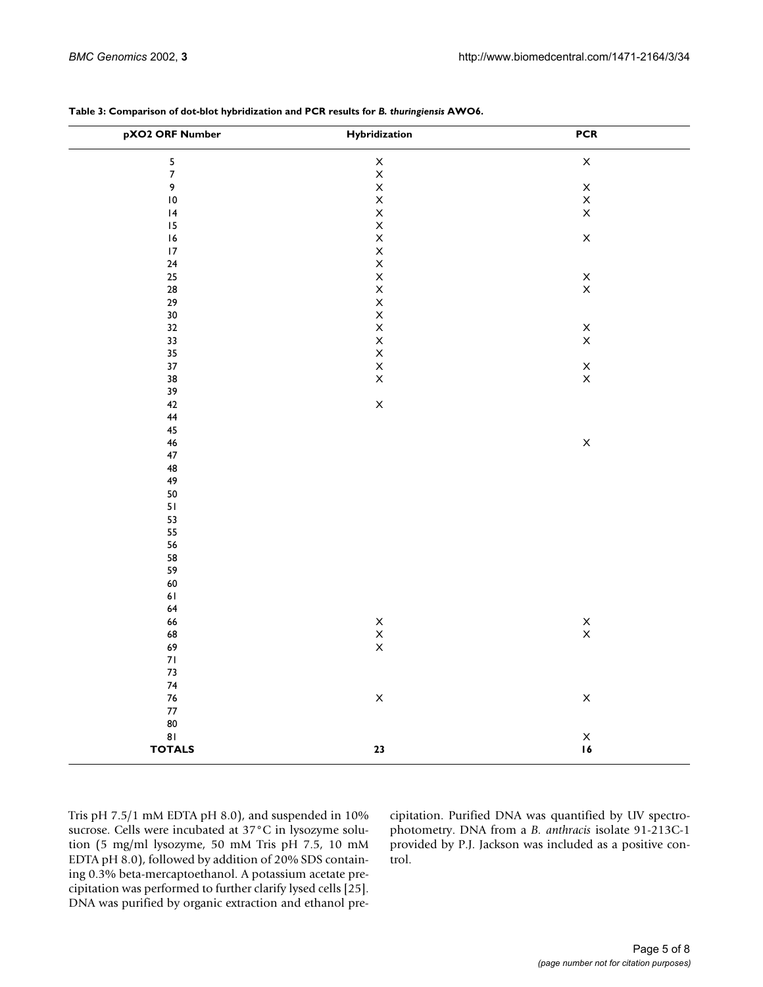| pXO2 ORF Number         | Hybridization                                                              | <b>PCR</b>                       |
|-------------------------|----------------------------------------------------------------------------|----------------------------------|
| $\overline{\mathbf{5}}$ | $_{\rm X}^{\rm X}$                                                         | $\boldsymbol{\mathsf{X}}$        |
| $\bar{z}$               |                                                                            |                                  |
| $\pmb{9}$               |                                                                            | $\boldsymbol{\mathsf{X}}$        |
| $\overline{10}$         | $\frac{x}{x}$                                                              | $\mathsf X$                      |
| $\vert 4$               | $\bar{\mathsf{X}}$                                                         | $\mathsf X$                      |
| 15                      | $\bar{\mathsf{X}}$                                                         |                                  |
| 16                      | $\mathsf X$                                                                | $\mathsf X$                      |
| $\overline{17}$         | $\mathsf X$                                                                |                                  |
| ${\bf 24}$              | $\mathsf X$                                                                |                                  |
| 25                      | $\mathsf X$                                                                | $\mathsf X$                      |
| 28                      | $\mathsf X$                                                                | $\mathsf X$                      |
| 29                      | $\mathsf X$                                                                |                                  |
| $30\,$                  |                                                                            |                                  |
| 32                      | $_{\rm X}^{\rm X}$                                                         | $\mathsf X$                      |
| 33                      | $\mathsf X$                                                                | $\mathsf X$                      |
| 35                      | $\mathsf X$                                                                |                                  |
| 37                      | $\mathsf X$                                                                | $\mathsf X$                      |
| 38                      | $\mathsf{X}$                                                               | $\mathsf X$                      |
| 39                      |                                                                            |                                  |
| 42                      | $\mathsf X$                                                                |                                  |
| 44                      |                                                                            |                                  |
| 45                      |                                                                            |                                  |
| 46                      |                                                                            | $\mathsf X$                      |
| $47\,$                  |                                                                            |                                  |
| 48                      |                                                                            |                                  |
| 49                      |                                                                            |                                  |
| 50                      |                                                                            |                                  |
| 51                      |                                                                            |                                  |
| 53                      |                                                                            |                                  |
| 55                      |                                                                            |                                  |
| 56                      |                                                                            |                                  |
| 58                      |                                                                            |                                  |
| 59                      |                                                                            |                                  |
| $\bf 60$                |                                                                            |                                  |
| $61\,$                  |                                                                            |                                  |
| 64                      |                                                                            |                                  |
| 66                      |                                                                            | $_\mathrm{x}^\mathrm{x}$         |
| 68                      |                                                                            |                                  |
| 69                      | $\begin{array}{c}\n  \mathsf{x} \\ \mathsf{x} \\ \mathsf{x}\n \end{array}$ |                                  |
| $71\,$                  |                                                                            |                                  |
| $73$                    |                                                                            |                                  |
| ${\bf 74}$              |                                                                            |                                  |
| $76\,$                  | $\mathsf X$                                                                | $\mathsf X$                      |
| $77\,$                  |                                                                            |                                  |
| 80                      |                                                                            |                                  |
| 81                      |                                                                            | $\frac{\mathsf{X}}{\mathsf{I6}}$ |
| <b>TOTALS</b>           | ${\bf 23}$                                                                 |                                  |
|                         |                                                                            |                                  |

#### <span id="page-4-0"></span>**Table 3: Comparison of dot-blot hybridization and PCR results for** *B. thuringiensis* **AWO6.**

Tris pH 7.5/1 mM EDTA pH 8.0), and suspended in 10% sucrose. Cells were incubated at 37°C in lysozyme solution (5 mg/ml lysozyme, 50 mM Tris pH 7.5, 10 mM EDTA pH 8.0), followed by addition of 20% SDS containing 0.3% beta-mercaptoethanol. A potassium acetate precipitation was performed to further clarify lysed cells [\[25](#page-7-18)]. DNA was purified by organic extraction and ethanol precipitation. Purified DNA was quantified by UV spectrophotometry. DNA from a *B. anthracis* isolate 91-213C-1 provided by P.J. Jackson was included as a positive control.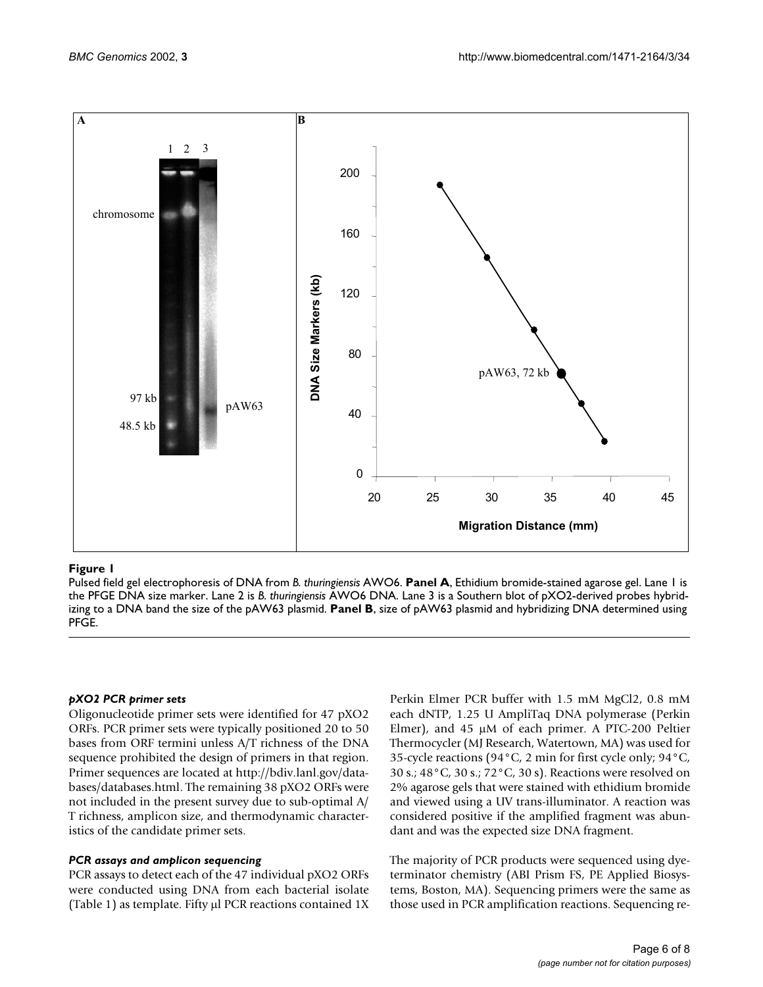

#### **Figure 1**

Pulsed field gel electrophoresis of DNA from *B. thuringiensis* AWO6. **Panel A**, Ethidium bromide-stained agarose gel. Lane 1 is the PFGE DNA size marker. Lane 2 is *B. thuringiensis* AWO6 DNA. Lane 3 is a Southern blot of pXO2-derived probes hybridizing to a DNA band the size of the pAW63 plasmid. **Panel B**, size of pAW63 plasmid and hybridizing DNA determined using PFGE.

#### *pXO2 PCR primer sets*

Oligonucleotide primer sets were identified for 47 pXO2 [ORFs. PCR primer sets were typically positioned 20 to 50](http://bdiv.lanl.gov/databases/databases.html) bases from ORF termini unless A/T richness of the DNA sequence prohibited the design of primers in that region. Primer sequences are located at http://bdiv.lanl.gov/databases/databases.html. The remaining 38 pXO2 ORFs were not included in the present survey due to sub-optimal A/ T richness, amplicon size, and thermodynamic characteristics of the candidate primer sets.

#### *PCR assays and amplicon sequencing*

PCR assays to detect each of the 47 individual pXO2 ORFs were conducted using DNA from each bacterial isolate (Table [1\)](#page-1-0) as template. Fifty µl PCR reactions contained 1X Perkin Elmer PCR buffer with 1.5 mM MgCl2, 0.8 mM each dNTP, 1.25 U AmpliTaq DNA polymerase (Perkin Elmer), and 45 µM of each primer. A PTC-200 Peltier Thermocycler (MJ Research, Watertown, MA) was used for 35-cycle reactions (94°C, 2 min for first cycle only; 94°C, 30 s.; 48°C, 30 s.; 72°C, 30 s). Reactions were resolved on 2% agarose gels that were stained with ethidium bromide and viewed using a UV trans-illuminator. A reaction was considered positive if the amplified fragment was abundant and was the expected size DNA fragment.

The majority of PCR products were sequenced using dyeterminator chemistry (ABI Prism FS, PE Applied Biosystems, Boston, MA). Sequencing primers were the same as those used in PCR amplification reactions. Sequencing re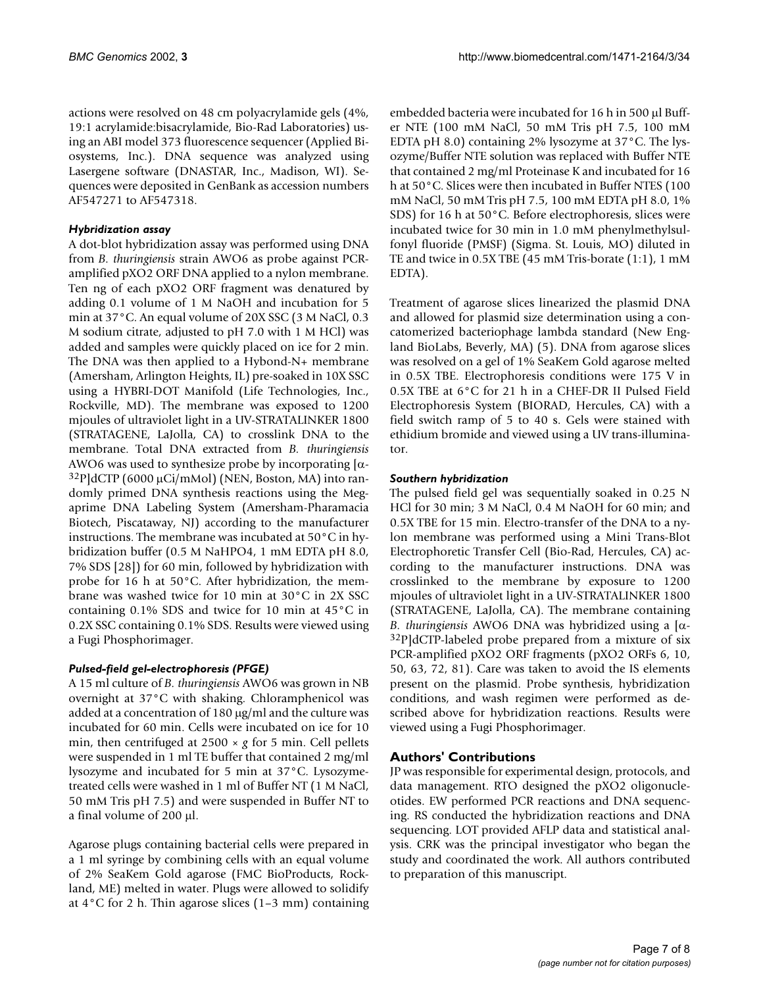actions were resolved on 48 cm polyacrylamide gels (4%, 19:1 acrylamide:bisacrylamide, Bio-Rad Laboratories) using an ABI model 373 fluorescence sequencer (Applied Biosystems, Inc.). DNA sequence was analyzed using Lasergene software (DNASTAR, Inc., Madison, WI). Sequences were deposited in GenBank as accession numbers AF547271 to AF547318.

## *Hybridization assay*

A dot-blot hybridization assay was performed using DNA from *B. thuringiensis* strain AWO6 as probe against PCRamplified pXO2 ORF DNA applied to a nylon membrane. Ten ng of each pXO2 ORF fragment was denatured by adding 0.1 volume of 1 M NaOH and incubation for 5 min at 37°C. An equal volume of 20X SSC (3 M NaCl, 0.3 M sodium citrate, adjusted to pH 7.0 with 1 M HCl) was added and samples were quickly placed on ice for 2 min. The DNA was then applied to a Hybond-N+ membrane (Amersham, Arlington Heights, IL) pre-soaked in 10X SSC using a HYBRI-DOT Manifold (Life Technologies, Inc., Rockville, MD). The membrane was exposed to 1200 mjoules of ultraviolet light in a UV-STRATALINKER 1800 (STRATAGENE, LaJolla, CA) to crosslink DNA to the membrane. Total DNA extracted from *B. thuringiensis* AWO6 was used to synthesize probe by incorporating  $\alpha$ - $32P$ ]dCTP (6000 µCi/mMol) (NEN, Boston, MA) into randomly primed DNA synthesis reactions using the Megaprime DNA Labeling System (Amersham-Pharamacia Biotech, Piscataway, NJ) according to the manufacturer instructions. The membrane was incubated at 50°C in hybridization buffer (0.5 M NaHPO4, 1 mM EDTA pH 8.0, 7% SDS [28]) for 60 min, followed by hybridization with probe for 16 h at 50°C. After hybridization, the membrane was washed twice for 10 min at 30°C in 2X SSC containing 0.1% SDS and twice for 10 min at 45°C in 0.2X SSC containing 0.1% SDS. Results were viewed using a Fugi Phosphorimager.

## *Pulsed-field gel-electrophoresis (PFGE)*

A 15 ml culture of *B. thuringiensis* AWO6 was grown in NB overnight at 37°C with shaking. Chloramphenicol was added at a concentration of 180 µg/ml and the culture was incubated for 60 min. Cells were incubated on ice for 10 min, then centrifuged at 2500 × *g* for 5 min. Cell pellets were suspended in 1 ml TE buffer that contained 2 mg/ml lysozyme and incubated for 5 min at 37°C. Lysozymetreated cells were washed in 1 ml of Buffer NT (1 M NaCl, 50 mM Tris pH 7.5) and were suspended in Buffer NT to a final volume of 200 µl.

Agarose plugs containing bacterial cells were prepared in a 1 ml syringe by combining cells with an equal volume of 2% SeaKem Gold agarose (FMC BioProducts, Rockland, ME) melted in water. Plugs were allowed to solidify at 4°C for 2 h. Thin agarose slices (1–3 mm) containing embedded bacteria were incubated for 16 h in 500 µl Buffer NTE (100 mM NaCl, 50 mM Tris pH 7.5, 100 mM EDTA pH 8.0) containing 2% lysozyme at 37°C. The lysozyme/Buffer NTE solution was replaced with Buffer NTE that contained 2 mg/ml Proteinase K and incubated for 16 h at 50°C. Slices were then incubated in Buffer NTES (100 mM NaCl, 50 mM Tris pH 7.5, 100 mM EDTA pH 8.0, 1% SDS) for 16 h at 50°C. Before electrophoresis, slices were incubated twice for 30 min in 1.0 mM phenylmethylsulfonyl fluoride (PMSF) (Sigma. St. Louis, MO) diluted in TE and twice in 0.5X TBE (45 mM Tris-borate (1:1), 1 mM EDTA).

Treatment of agarose slices linearized the plasmid DNA and allowed for plasmid size determination using a concatomerized bacteriophage lambda standard (New England BioLabs, Beverly, MA) (5). DNA from agarose slices was resolved on a gel of 1% SeaKem Gold agarose melted in 0.5X TBE. Electrophoresis conditions were 175 V in 0.5X TBE at 6°C for 21 h in a CHEF-DR II Pulsed Field Electrophoresis System (BIORAD, Hercules, CA) with a field switch ramp of 5 to 40 s. Gels were stained with ethidium bromide and viewed using a UV trans-illuminator.

## *Southern hybridization*

The pulsed field gel was sequentially soaked in 0.25 N HCl for 30 min; 3 M NaCl, 0.4 M NaOH for 60 min; and 0.5X TBE for 15 min. Electro-transfer of the DNA to a nylon membrane was performed using a Mini Trans-Blot Electrophoretic Transfer Cell (Bio-Rad, Hercules, CA) according to the manufacturer instructions. DNA was crosslinked to the membrane by exposure to 1200 mjoules of ultraviolet light in a UV-STRATALINKER 1800 (STRATAGENE, LaJolla, CA). The membrane containing *B. thuringiensis* AWO6 DNA was hybridized using a [α- 32P]dCTP-labeled probe prepared from a mixture of six PCR-amplified pXO2 ORF fragments (pXO2 ORFs 6, 10, 50, 63, 72, 81). Care was taken to avoid the IS elements present on the plasmid. Probe synthesis, hybridization conditions, and wash regimen were performed as described above for hybridization reactions. Results were viewed using a Fugi Phosphorimager.

# **Authors' Contributions**

JP was responsible for experimental design, protocols, and data management. RTO designed the pXO2 oligonucleotides. EW performed PCR reactions and DNA sequencing. RS conducted the hybridization reactions and DNA sequencing. LOT provided AFLP data and statistical analysis. CRK was the principal investigator who began the study and coordinated the work. All authors contributed to preparation of this manuscript.